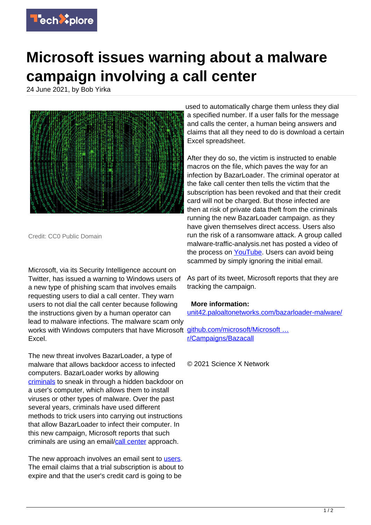

## **Microsoft issues warning about a malware campaign involving a call center**

24 June 2021, by Bob Yirka



Credit: CC0 Public Domain

Microsoft, via its Security Intelligence account on Twitter, has issued a warning to Windows users of a new type of phishing scam that involves emails requesting users to dial a call center. They warn users to not dial the call center because following the instructions given by a human operator can lead to malware infections. The malware scam only works with Windows computers that have Microsoft github.com/microsoft/Microsoft ... Excel.

The new threat involves BazarLoader, a type of malware that allows backdoor access to infected computers. BazarLoader works by allowing [criminals](https://techxplore.com/tags/criminals/) to sneak in through a hidden backdoor on a user's computer, which allows them to install viruses or other types of malware. Over the past several years, criminals have used different methods to trick users into carrying out instructions that allow BazarLoader to infect their computer. In this new campaign, Microsoft reports that such criminals are using an email/[call center](https://techxplore.com/tags/call+center/) approach.

The new approach involves an email sent to [users.](https://techxplore.com/tags/users/) The email claims that a trial subscription is about to expire and that the user's credit card is going to be

used to automatically charge them unless they dial a specified number. If a user falls for the message and calls the center, a human being answers and claims that all they need to do is download a certain Excel spreadsheet.

After they do so, the victim is instructed to enable macros on the file, which paves the way for an infection by BazarLoader. The criminal operator at the fake call center then tells the victim that the subscription has been revoked and that their credit card will not be charged. But those infected are then at risk of private data theft from the criminals running the new BazarLoader campaign. as they have given themselves direct access. Users also run the risk of a ransomware attack. A group called malware-traffic-analysis.net has posted a video of the process on [YouTube](https://www.youtube.com/watch?v=uAkeXCYcl4Y). Users can avoid being scammed by simply ignoring the initial email.

As part of its tweet, Microsoft reports that they are tracking the campaign.

## **More information:**

[unit42.paloaltonetworks.com/bazarloader-malware/](https://unit42.paloaltonetworks.com/bazarloader-malware/)

[r/Campaigns/Bazacall](https://github.com/microsoft/Microsoft-365-Defender-Hunting-Queries/tree/master/Campaigns/Bazacall)

© 2021 Science X Network